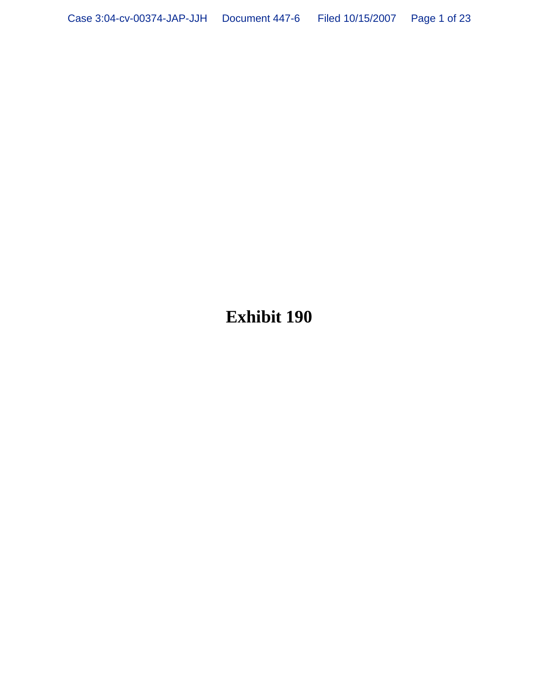**Exhibit 190**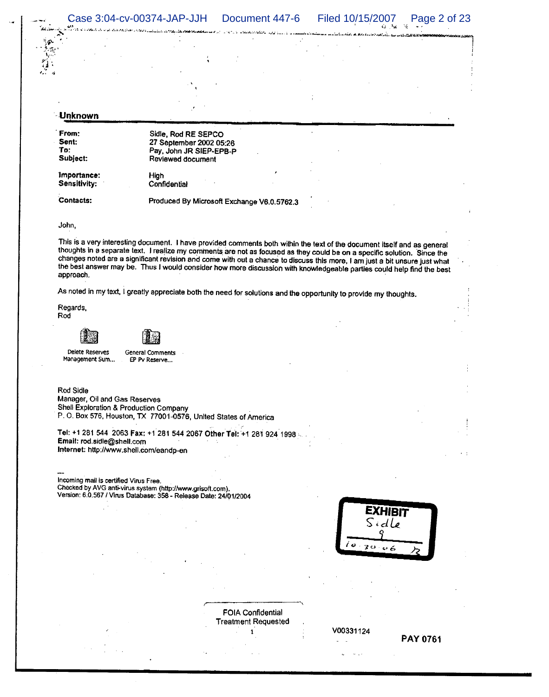Case 3:04-cv-00374-JAP-JJH Document 447-6 Filed 10/15/2007 Page 2 of 23  $4.2 - 2.6$ 

للدفع العقوبة والمتعاقب والجادا الدام

## Unknown

From: Sent: To: Subject:

Sidle, Rod RE SEPCO 27 September 2002 05:26 Pay, John JR SIEP-EPB-P Reviewed document High

Importance: Sensitivity:

Contacts: Produced By Microsoft Exchange V6.0.5762.3

Confidential

#### John,

This is a very interesting document. I have provided comments both within the text of the document itself and as general thoughts in a separate text. I realize my comments are not as focused as they could be on a specific solution. Since the changes noted are a significant revision and come with out a chance to discuss this more, I am just a bit unsure just what the best answer may be. Thus I would consider how more discussion with knowledgeable parties could help find the best approach.

As noted in my text, I greatly appreciate both the need for solutions and the opportunity to provide my thoughts.

Regards. Rod





Delete Reserves Management Sum... **General Comments** EP Pv Reserve...

Rod Sidle

Manager, Oil and Gas Reserves Shell Exploration & Production Company P. O. Box 576, Houston, TX 77001-0576, United States of America

Tel: +1 281 544 2063 Fax: +1 281 544 2067 Other Tel: +1 281 924 1998 .. Email: rod.sidle@shell.com Internet: http://www.shell.com/eandp-en

Incoming mail is certified Virus Free. Checked by AVG anti-virus system (http://www.grisoft.com). Version: 6.0.567 / Virus Database: 358 - Release Date: 24/01/2004



FOIA Confidential **Treatment Requested**  $\mathbf{1}$ 

V00331124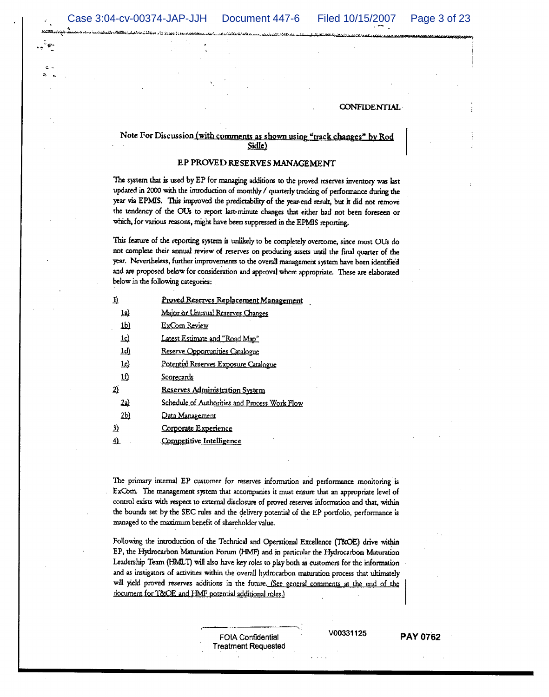#### Note For Discussion (with comments as shown using "track changes" by Rod Sidle)

#### EP PROVED RESERVES MANAGEMENT

The system that is used by EP for managing additions to the proved reserves inventory was last updated in 2000 with the introduction of monthly / quarterly tracking of performance during the year via EPMIS. This improved the predictability of the year-end result, but it did not remove the tendency of the OUs to report last-minute changes that either had not been foreseen or which, for various reasons, might have been suppressed in the EPMIS reporting.

This feature of the reporting system is unlikely to be completely overcome, since most OUs do not complete their annual review of reserves on producing assets until the final quarter of the year. Nevertheless, further improvements to the overall management system have been identified and are proposed below for consideration and approval where appropriate. These are elaborated below in the following categories:

| 1)             | Proved Reserves Replacement Management        |
|----------------|-----------------------------------------------|
| 12)            | Major or Unusual Reserves Changes             |
| <u>1b</u>      | ExCom Review                                  |
| <u>lc)</u>     | Latest Estimate and "Road Map"                |
| $ q\rangle$    | Reserve Opportunities Catalogue               |
| <u>1e)</u>     | Potential Reserves Exposure Catalogue         |
| 尬              | Scorecards                                    |
| $\overline{2}$ | <u>Reserves Administration System</u>         |
| <u>2a)</u>     | Schedule of Authorities and Process Work Flow |
| 2 <sub>b</sub> | <u>Data Management</u>                        |
| $\mathbf{E}$   | Corporate Experience                          |
| 4)             | Competitive Intelligence                      |

The primary internal EP customer for reserves information and performance monitoring is ExCom. The management system that accompanies it must ensure that an appropriate level of control exists with respect to external disclosure of proved reserves information and that, within the bounds set by the SEC rules and the delivery potential of the EP portfolio, performance is managed to the maximum benefit of shareholder value.

Following the introduction of the Technical and Operational Excellence (T8OE) drive within EP, the Hydrocarbon Maturation Forum (HMF) and in particular the Hydrocarbon Maturation Leadership Team (HMLT) will also have key roles to play both as customers for the information and as instigators of activities within the overall hydrocarbon maturation process that ultimately will yield proved reserves additions in the future. (See general comments at the end of the document for T&OE and HMF potential additional roles.)

> **FOIA Confidential Treatment Requested**

V00331125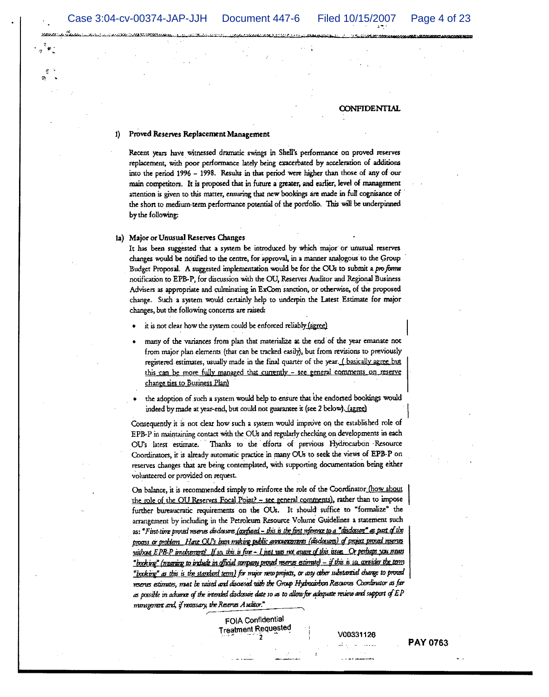#### 1) Proved Reserves Replacement Management

Recent years have witnessed dramatic swings in Shell's performance on proved reserves replacement, with poor performance lately being exacerbated by acceleration of additions into the period 1996 - 1998. Results in that period were higher than those of any of our main competitors. It is proposed that in future a greater, and earlier, level of management attention is given to this matter, ensuring that new bookings are made in full cognisance of the short to medium-term performance potential of the portfolio. This will be underpinned by the following:

#### 1a) Major or Unusual Reserves Changes

It has been suggested that a system be introduced by which major or unusual reserves changes would be notified to the centre, for approval, in a manner analogous to the Group Budget Proposal. A suggested implementation would be for the OUs to submit a pro forma notification to EPB-P, for discussion with the OU, Reserves Auditor and Regional Business Advisers as appropriate and culminating in ExCom sanction, or otherwise, of the proposed change. Such a system would certainly help to underpin the Latest Estimate for major changes, but the following concerns are raised:

- it is not clear how the system could be enforced reliably (agree)
- many of the variances from plan that materialize at the end of the year emanate not from major plan elements (that can be tracked easily), but from revisions to previously registered estimates, usually made in the final quarter of the year. (basically agree but this can be more fully managed that currently - see general comments on reserve change ties to Business Plan)
- the adoption of such a system would help to ensure that the endorsed bookings would indeed by made at year-end, but could not guarantee it (see 2 below). (agree)

Consequently it is not clear how such a system would improve on the established role of EPB-P in maintaining contact with the OUs and regularly checking on developments in each OU's latest estimate. Thanks to the efforts of previous Hydrocarbon Resource Coordinators, it is already automatic practice in many OUs to seek the views of EPB-P on reserves changes that are being contemplated, with supporting documentation being either volunteered or provided on request.

On balance, it is recommended simply to reinforce the role of the Coordinator (how about the role of the OU Reserves Focal Point? - see general comments), rather than to impose further bureaucratic requirements on the OUs. It should suffice to "formalize" the arrangement by including in the Petroleum Resource Volume Guidelines a statement such as: "First-time proted reserves disdostors (corposed - this is the first reference to a "disdostore" as part of the process or problem Have OU's been muking public announcements (disclosures) of project proved reserves villong EPB-P trackerrent? If so, this is fine - I just just not guine of this issue. Or perhaps you mean "booking" (nearing to include in official company proved reserves estimate) - if this is so, consider the term "booking" as this is the standard term) for major new projects, or any other substantial diange to proud reserves estimates, must be raised and discussed with the Group Hydrocarbon Resources Coordinator as far as possible in advance of the intended disdosure date so as to allow for adequate review and support of EP minigement and, if necessary, the Reserves Auditor."

> FOIA Confidential **Treatment Requested**

V00331126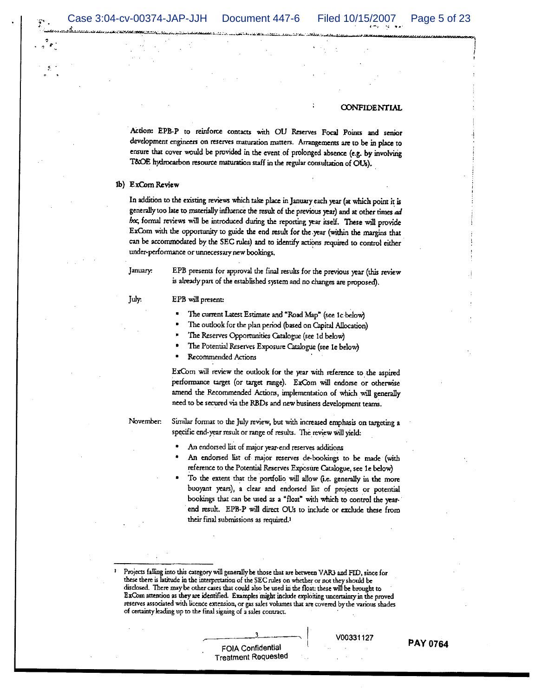Action: EPB-P to reinforce contacts with OU Reserves Focal Points and senior development engineers on reserves maturation matters. Arrangements are to be in place to ensure that cover would be provided in the event of prolonged absence (e.g. by involving T&OE hydrocarbon resource maturation staff in the regular consultation of OUs).

#### 1b) ExCom Review

In addition to the existing reviews which take place in January each year (at which point it is generally too late to materially influence the result of the previous year) and at other times ad hoc, formal reviews will be introduced during the reporting year itself. These will provide ExCom with the opportunity to guide the end result for the year (within the margins that can be accommodated by the SEC rules) and to identify actions required to control either under-performance or unnecessary new bookings.

January:

July.

EPB presents for approval the final results for the previous year (this review is already part of the established system and no changes are proposed).

#### EPB will present:

- The current Latest Estimate and "Road Map" (see 1c below)
- The outlook for the plan period (based on Capital Allocation)
- The Reserves Opportunities Catalogue (see 1d below)
- The Potential Reserves Exposure Catalogue (see 1e below)
- Recommended Actions

ExCom will review the outlook for the year with reference to the aspired performance target (or target range). ExCom will endorse or otherwise amend the Recommended Actions, implementation of which will generally need to be secured via the RBDs and new business development teams.

November.

Similar format to the July review, but with increased emphasis on targeting a specific end-year result or range of results. The review will yield:

- An endorsed list of major year-end reserves additions
- An endorsed list of major reserves de-bookings to be made (with reference to the Potential Reserves Exposure Catalogue, see 1e below)
- To the extent that the portfolio will allow (i.e. generally in the more buoyant years), a clear and endorsed list of projects or potential bookings that can be used as a "float" with which to control the yearend result. EPB-P will direct OUs to include or exclude these from their final submissions as required.<sup>1</sup>

V00331127

PAY 0764

FOIA Confidential **Treatment Requested** 

Projects falling into this category will generally be those that are between VAR3 and FID, since for these there is latitude in the interpretation of the SEC rules on whether or not they should be disclosed. There may be other cases that could also be used in the float: these will be brought to ExCom attention as they are identified. Examples might include exploiting uncertainty in the proved reserves associated with licence extension, or gas sales volumes that are covered by the various shades of certainty leading up to the final signing of a sales contract.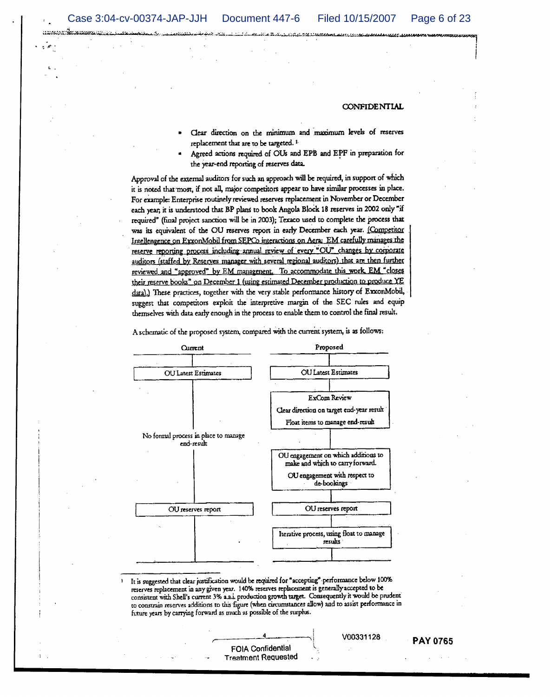andor Scanada

#### CONFIDENTIAL

- Clear direction on the minimum and maximum levels of reserves replacement that are to be targeted.<sup>1</sup>
- Agreed actions required of OUs and EPB and EPF in preparation for the year-end reporting of reserves data.

Approval of the external auditors for such an approach will be required, in support of which it is noted that most, if not all, major competitors appear to have similar processes in place. For example: Enterprise routinely reviewed reserves replacement in November or December each year, it is understood that BP plans to book Angola Block 18 reserves in 2002 only "if required" (final project sanction will be in 2003); Texaco used to complete the process that was its equivalent of the OU reserves report in early December each year. (Competitor Intellengence on ExxonMobil from SEPCo interactions on Aera: EM carefully manages the reserve reporting process including annual review of every "OU" changes by corporate auditors (staffed by Reserves manager with several regional auditors) that are then further reviewed and "approved" by EM managenent. To accommodate this work EM "closes their reserve books" on December 1 (using estimated December production to produce YE data).) These practices, together with the very stable performance history of ExxonMobil, suggest that competitors exploit the interpretive margin of the SEC rules and equip themselves with data early enough in the process to enable them to control the final result.

A schematic of the proposed system, compared with the current system, is as follows:



It is suggested that clear justification would be required for "accepting" performance below 100% reserves replacement in any given year. 140% reserves replacement is generally accepted to be consistent with Shell's current 3% a.a.i. production growth target. Consequently it would be prudent to constrain reserves additions to this figure (when circumstances allow) and to assist performance in future years by carrying forward as much as possible of the surplus.

FOIA Confidential **Treatment Requested** 

#### **PAY 0765**

V00331128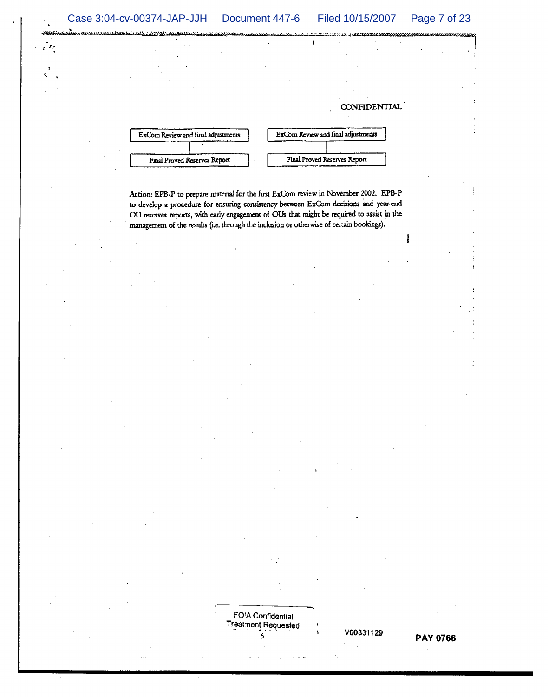.<br>Pilip  $\sim$   $\epsilon$ 

**CONFIDENTIAL** ExCom Review and final adjustments ExCom Review and final adjustments

Final Proved Reserves Report

Action: EPB-P to prepare material for the first ExCom review in November 2002. EPB-P to develop a procedure for ensuring consistency between ExCom decisions and year-end OU reserves reports, with early engagement of OUs that might be required to assist in the management of the results (i.e. through the inclusion or otherwise of certain bookings).

Final Proved Reserves Report

**FOIA Confidential Treatment Requested** ś

V00331129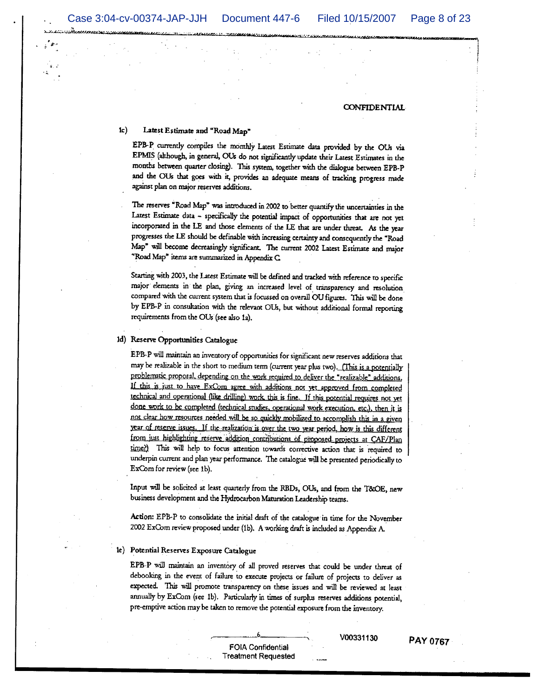#### $1<sub>c</sub>$ Latest Estimate and "Road Map"

EPB-P currently compiles the monthly Latest Estimate data provided by the OUs via EPMIS (although, in general, OUs do not significantly update their Latest Estimates in the months between quarter closing). This system, together with the dialogue between EPB-P and the OUs that goes with it, provides an adequate means of tracking progress made against plan on major reserves additions.

The reserves "Road Map" was introduced in 2002 to better quantify the uncertainties in the Latest Estimate data - specifically the potential impact of opportunities that are not yet incorporated in the LE and those elements of the LE that are under threat. As the year progresses the LE should be definable with increasing certainty and consequently the "Road Map" will become decreasingly significant. The current 2002 Latest Estimate and major "Road Map" items are summarized in Appendix C.

Starting with 2003, the Latest Estimate will be defined and tracked with reference to specific major elements in the plan, giving an increased level of transparency and resolution compared with the current system that is focussed on overall OU figures. This will be done by EPB-P in consultation with the relevant OUs, but without additional formal reporting requirements from the OUs (see also 1a).

#### 1d) Reserve Opportunities Catalogue

EPB-P will maintain an inventory of opportunities for significant new reserves additions that may be realizable in the short to medium term (current year plus two). (This is a potentially problematic proposal, depending on the work required to deliver the "realizable" additions. If this is just to have ExCom agree with additions not yet approved from completed technical and operational (like drilling) work this is fine. If this potential requires not yet done work to be completed (technical studies, operational work execution, etc.), then it is not clear how resources needed will be so quickly mobilized to accomplish this in a given year of reserve issues. If the realization is over the two year period, how is this different from just highlighting reserve addition contributions of proposed projects at CAF/Plan time?) This will help to focus attention towards corrective action that is required to underpin current and plan year performance. The catalogue will be presented periodically to ExCom for review (see 1b).

Input will be solicited at least quarterly from the RBDs, OUs, and from the T&OE, new business development and the Hydrocarbon Maturation Leadership teams.

Action: EPB-P to consolidate the initial draft of the catalogue in time for the November 2002 ExCom review proposed under (1b). A working draft is included as Appendix A.

#### 1e) Potential Reserves Exposure Catalogue

EPB-P will maintain an inventory of all proved reserves that could be under threat of debooking in the event of failure to execute projects or failure of projects to deliver as expected. This will promote transparency on these issues and will be reviewed at least annually by ExCom (see 1b). Particularly in times of surplus reserves additions potential, pre-emptive action may be taken to remove the potential exposure from the inventory.

> FOIA Confidential **Treatment Requested**

V00331130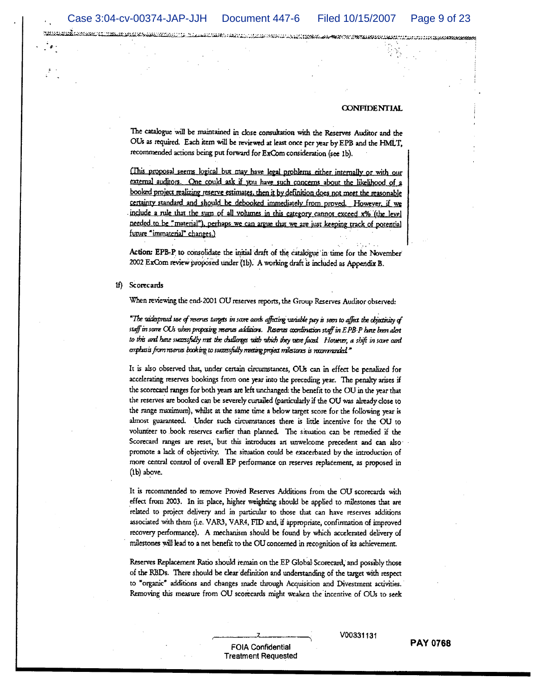recorded complete the constitution of the control of the constitution of the constitution of the constitution of the constitution of the constitution of the constitution of the constitution of the constitution of the const

#### **CONFIDENTIAL**

The catalogue will be maintained in close consultation with the Reserves Auditor and the OUs as required. Each item will be reviewed at least once per year by EPB and the HMLT, recommended actions being put forward for ExCom consideration (see 1b).

(This proposal seems logical but may have legal problems either internally or with our external auditors. One could ask if you have such concerns about the likelihood of a booked project realizing reserve estimates, then it by definition does not meet the reasonable certainty standard and should be debooked immediately from proved. However, if we include a rule that the sum of all volumes in this category cannot exceed x% (the level needed to be "material"), perhaps we can argue that we are just keeping track of potential future "immaterial" changes.)

Action: EPB-P to consolidate the initial draft of the catalogue in time for the November 2002 ExCom review proposed under (1b). A working draft is included as Appendix B.

1f) Scorecards

When reviewing the end-2001 OU reserves reports, the Group Reserves Auditor observed:

"The widespread use of reserves targets in score cands affecting variable pay is seen to affect the objectivity of staff in some OUs when proposing reserves additions. Reserves coordination staff in EPB-P have been alent to this and have successfully met the challenges with which they were faced. However, a shift in score card emphasis from reserves booking to successfully meeting project milestones is recommended."

It is also observed that, under certain circumstances, OUs can in effect be penalized for accelerating reserves bookings from one year into the preceding year. The penalty arises if the scorecard ranges for both years are left unchanged: the benefit to the OU in the year that the reserves are booked can be severely curtailed (particularly if the OU was already close to the range maximum), whilst at the same time a below target score for the following year is almost guaranteed. Under such circumstances there is little incentive for the OU to volunteer to book reserves earlier than planned. The situation can be remedied if the Scorecard ranges are reset, but this introduces an unwelcome precedent and can also promote a lack of objectivity. The situation could be exacerbated by the introduction of more central control of overall EP performance on reserves replacement, as proposed in  $(1b)$  above.

It is recommended to remove Proved Reserves Additions from the OU scorecards with effect from 2003. In its place, higher weighting should be applied to milestones that are related to project delivery and in particular to those that can have reserves additions associated with them (i.e. VAR3, VAR4, FID and, if appropriate, confirmation of improved recovery performance). A mechanism should be found by which accelerated delivery of milestones will lead to a net benefit to the OU concerned in recognition of its achievement.

Reserves Replacement Ratio should remain on the EP Global Scorecard, and possibly those of the RBDs. There should be clear definition and understanding of the target with respect to "organic" additions and changes made through Acquisition and Divestment activities. Removing this measure from OU scorecards might weaken the incentive of OUs to seek

#### **FOIA Confidential Treatment Requested**

V00331131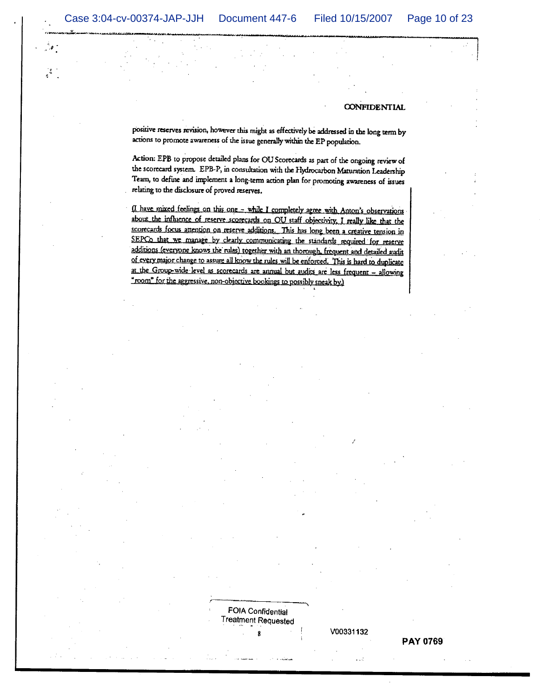jš.

#### **CONFIDENTIAL**

positive reserves revision, however this might as effectively be addressed in the long term by actions to promote awareness of the issue generally within the EP population.

Action: EPB to propose detailed plans for OU Scorecards as part of the ongoing review of the scorecard system. EPB-P, in consultation with the Hydrocarbon Maturation Leadership Team, to define and implement a long-term action plan for promoting awareness of issues relating to the disclosure of proved reserves.

(I have mixed feelings on this one - while I completely agree with Anton's observations about the influence of reserve scorecards on OU staff objectivity. I really like that the scorecards focus attention on reserve additions. This has long been a creative tension in SEPCo that we manage by clearly communicating the standards required for reserve additions (everyone knows the rules) together with an thorough, frequent and detailed audit of every major change to assure all know the rules will be enforced. This is hard to duplicate at the Group-wide level as scorecards are annual but audits are less frequent - allowing "room" for the aggressive, non-objective bookings to possibly sneak by.)

**Treatment Requested** 

V00331132

 $\mathbf{r}$ 

**FOIA Confidential**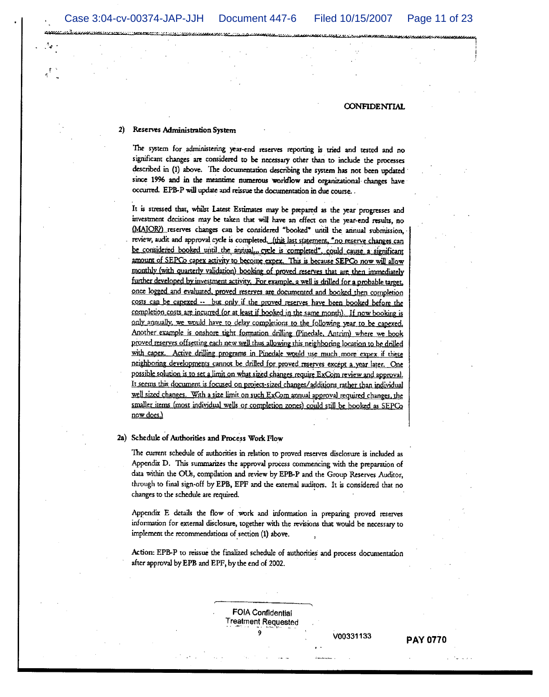#### Reserves Administration System

The system for administering year-end reserves reporting is tried and tested and no significant changes are considered to be necessary other than to include the processes described in (1) above. The documentation describing the system has not been updated since 1996 and in the meantime numerous worldlow and organizational changes have occurred. EPB-P will update and reissue the documentation in due course.

It is stressed that, whilst Latest Estimates may be prepared as the year progresses and investment decisions may be taken that will have an effect on the year-end results, no (MAJOR) reserves changes can be considered "booked" until the annual submission. review, audit and approval cycle is completed. (this last statement, "no reserve changes can be considered booked until the annual... cycle is completed", could cause a significant amount of SEPCo capex activity to become expex. This is because SEPCo now will allow monthly (with quarterly validation) booking of proved reserves that are then immediately further developed by investment activity. For example, a well is drilled for a probable target, once logged and evaluated, proved reserves are documented and booked then completion costs can be capexed -- but only if the proved reserves have been booked before the completion costs are incurred (or at least if booked in the same month). If now booking is only annually, we would have to delay completions to the following year to be capexed. Another example is onshore tight formation drilling (Pinedale, Antrim) where we book proved reserves offsetting each new well thus allowing this neighboring location to be drilled with capex. Active drilling programs in Pinedale would use much more expex if these neighboring developments cannot be drilled for proved reserves except a year later. One possible solution is to set a limit on what sized changes require ExCom review and approval. It seems this document is focused on project-sized changes/additions rather than individual well sized changes. With a size limit on such ExCom annual approval required changes, the smaller items (most individual wells or completion zones) could still be booked as SEPCo now does.)

#### 2a) Schedule of Authorities and Process Work Flow

The current schedule of authorities in relation to proved reserves disclosure is included as Appendix D. This summarizes the approval process commencing with the preparation of data within the OUs, compilation and review by EPB-P and the Group Reserves Auditor, through to final sign-off by EPB, EPF and the external auditors. It is considered that no changes to the schedule are required.

Appendix E details the flow of work and information in preparing proved reserves information for external disclosure, together with the revisions that would be necessary to implement the recommendations of section (1) above.

Action: EPB-P to reissue the finalized schedule of authorities and process documentation after approval by EPB and EPF, by the end of 2002.

> **FOIA Confidential Treatment Requested**

V00331133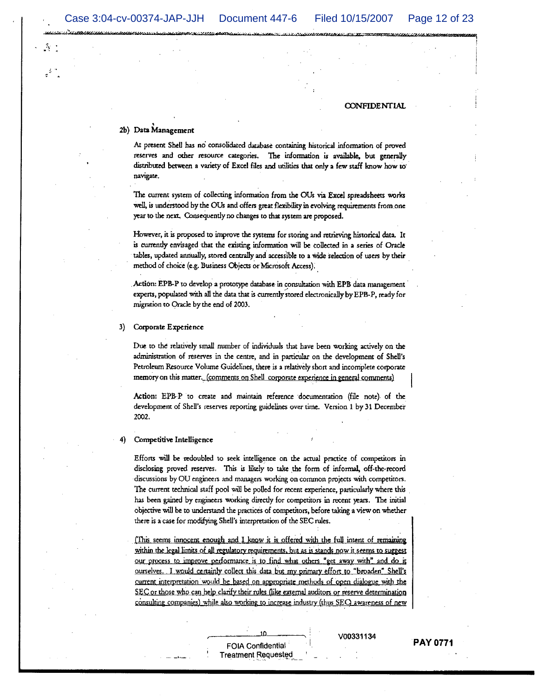$\mathcal{F}_\mathcal{S}$ 

**CONFIDENTIAL** 

#### 2b) Data Management

At present Shell has no consolidated database containing historical information of proved reserves and other resource categories. The information is available, but generally distributed between a variety of Excel files and utilities that only a few staff know how to navigate.

The current system of collecting information from the OUs via Excel spreadsheets works well, is understood by the OUs and offers great flexibility in evolving requirements from one year to the next. Consequently no changes to that system are proposed.

However, it is proposed to improve the systems for storing and retrieving historical data. It is currently envisaged that the existing information will be collected in a series of Oracle tables, updated annually, stored centrally and accessible to a wide selection of users by their method of choice (e.g. Business Objects or Microsoft Access).

Action: EPB-P to develop a prototype database in consultation with EPB data management experts, populated with all the data that is currently stored electronically by EPB-P, ready for migration to Oracle by the end of 2003.

#### 3) Corporate Experience

Due to the relatively small number of individuals that have been working actively on the administration of reserves in the centre, and in particular on the development of Shell's Petroleum Resource Volume Guidelines, there is a relatively short and incomplete corporate memory on this matter. (comments on Shell corporate experience in general comments)

Action: EPB-P to create and maintain reference documentation (file note) of the development of Shell's reserves reporting guidelines over time. Version 1 by 31 December 2002.

#### Competitive Intelligence 4)

Efforts will be redoubled to seek intelligence on the actual practice of competitors in disclosing proved reserves. This is likely to take the form of informal, off-the-record discussions by OU engineers and managers working on common projects with competitors. The current technical staff pool will be polled for recent experience, particularly where this has been gained by engineers working directly for competitors in recent years. The initial objective will be to understand the practices of competitors, before taking a view on whether there is a case for modifying Shell's interpretation of the SEC rules.

(This seems innocent enough and I know it is offered with the full intent of remaining within the legal limits of all regulatory requirements, but as is stands now it seems to suggest our process to improve performance is to find what others "get away with" and do it ourselves. I would certainly collect this data but my primary effort to "broaden" Shell's current interpretation would be based on appropriate methods of open dialogue with the SEC or those who can help clarify their rules (like external auditors or reserve determination consulting companies) while also working to increase industry (thus SEC) awareness of new

> **FOIA Confidential Treatment Requested**

V00331134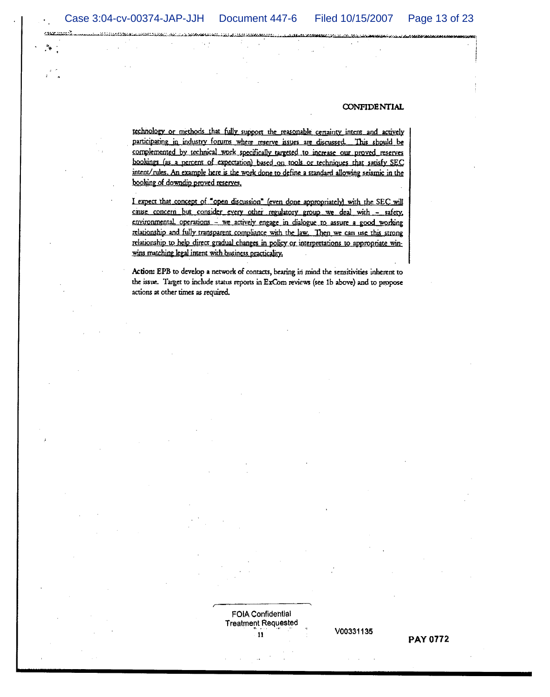katangan S

#### **CONFIDENTIAL**

rechnology or methods that fully support the reasonable certainty intent and actively participating in industry forums where reserve issues are discussed. This should be complemented by technical work specifically targeted to increase our proved reserves bookings (as a percent of expectation) based on tools or techniques that satisfy SEC intent/rules. An example here is the work done to define a standard allowing seismic in the booking of downdip proved reserves.

I expect that concept of "open discussion" (even done appropriately) with the SEC will cause concern but consider every other regulatory group we deal with - safety, environmental, operations - we actively engage in dialogue to assure a good working relationship and fully transparent compliance with the law. Then we can use this strong relationship to help direct gradual changes in policy or interpretations to appropriate winwins matching legal intent with business practicality,

Action: EPB to develop a network of contacts, bearing in mind the sensitivities inherent to the issue. Target to include status reports in ExCom reviews (see 1b above) and to propose actions at other times as required.

> **FOIA Confidential Treatment Requested** 11

**PAY 0772** 

V00331135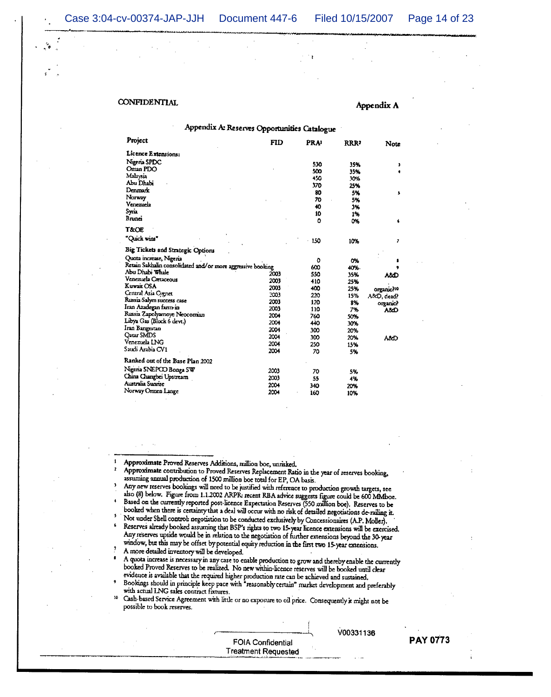#### Appendix A

| Appendix A: Reserves Opportunities Catalogue                                   |            |                 |            |            |
|--------------------------------------------------------------------------------|------------|-----------------|------------|------------|
| Project                                                                        | <b>FID</b> | <b>PRA</b>      | RRR?       | Note       |
| Licence Extensions:                                                            |            |                 |            |            |
| Nigeria SPDC                                                                   |            | 530             |            |            |
| Oman PDO                                                                       |            | 500             | 35%<br>35% | ,          |
| Malaysia                                                                       |            | 450             | 30%        |            |
| Abu Dhabi                                                                      |            | 37 <sub>D</sub> | 25%        |            |
| Denmark                                                                        |            | 80              | 5%         |            |
| Norway                                                                         |            | 70              | 5%         | s          |
| Venezuela                                                                      |            | 40              | 3%         |            |
| Syria                                                                          |            | 10              |            |            |
| Brunei                                                                         |            | ٥               | 1%         |            |
| <b>T&amp;OE</b>                                                                |            |                 | ٥X         | 6          |
| "Quick wins"                                                                   |            | 150             | 10%        | ,          |
| Big Tickets and Strategic Options                                              |            |                 |            |            |
| Quota increase, Nigeria                                                        |            |                 |            |            |
|                                                                                |            | ٥               | 0%         |            |
| Retain Sakhalin consolidated and/or more aggressive booking<br>Abu Dhabi Whale |            | 600             | 40%        |            |
| Venezuela Cretaceous                                                           | 2003       | 550             | 35%        | A&D        |
| Kuwait OSA                                                                     | 2003       | 410             | 25%        |            |
| Central Asia Cygnet                                                            | 2003       | 400             | 25%        | organic?10 |
| Russia Salym success case                                                      | 2003       | 220             | 15%        | A&D, dead? |
| Iran Azadegan farm-in                                                          | 2003       | 120             | 8%         | organic?   |
| Russia Zapołyarnoye Neocomian                                                  | 2003       | 110             | 7%         | A8D        |
| Libya Gas (Block 6 devt.)                                                      | 2004       | 760             | 50%        |            |
| Iran Bangestan                                                                 | 2004       | 440             | 30%        |            |
| <b>Oatar SMDS</b>                                                              | 2004       | 300             | 20%        |            |
| Venezuela LNG                                                                  | 2004       | 300             | 20%        | AAD        |
| Saudi Arabia CV1                                                               | 2004       | 250             | 15%        |            |
|                                                                                | 2004       | 70              | 5%         |            |
| Ranked out of the Base Plan 2002                                               |            |                 |            |            |
| Nigeria SNEPCO Bonga SW                                                        | 2003       | 70              | 5%         |            |
| China Changbei Upstream                                                        | 2003       | 55              | 4%         |            |
| Australia Sunrise                                                              | 2004       | 340             | 20%        |            |
| Norway Ormen Lange                                                             | 2004       | 160             | 10%        |            |

Approximate Proved Reserves Additions, million boe, unrisked.  $\mathbf{1}$ 

- $\pmb{z}$ Approximate contribution to Proved Reserves Replacement Ratio in the year of reserves booking, assuming annual production of 1500 million boe total for EP, OA basis.
- $\mathbf{3}$ Any new reserves bookings will need to be justified with reference to production growth targets, see also (8) below. Figure from 1.1.2002 ARPR: recent RBA advice suggests figure could be 600 MMboe.  $\ddot{\bullet}$ Based on the currently reported post-licence Expectation Reserves (550 million boe). Reserves to be booked when there is certainty that a deal will occur with no risk of detailed negotiations de-railing it.
- 5 Not under Shell control: negotiation to be conducted exclusively by Concessionaires (A.P. Moller). 6
- Reserves already booked assuming that BSP's rights to two 15-year licence extensions will be exercised. Any reserves upside would be in relation to the negotiation of further extensions beyond the 30-year window, but this may be offset by potential equity reduction in the first two 15-year extensions.

A more detailed inventory will be developed.

- A quota increase is necessary in any case to enable production to grow and thereby enable the currently booked Proved Reserves to be realized. No new within-licence reserves will be booked until clear evidence is available that the required higher production rate can be achieved and sustained.
- Bookings should in principle keep pace with "reasonably certain" market development and preferably with actual LNG sales contract fixtures. 10

Cash-based Service Agreement with little or no exposure to oil price. Consequently it might not be possible to book reserves.

> FOIA Confidential **Treatment Requested**

V00331136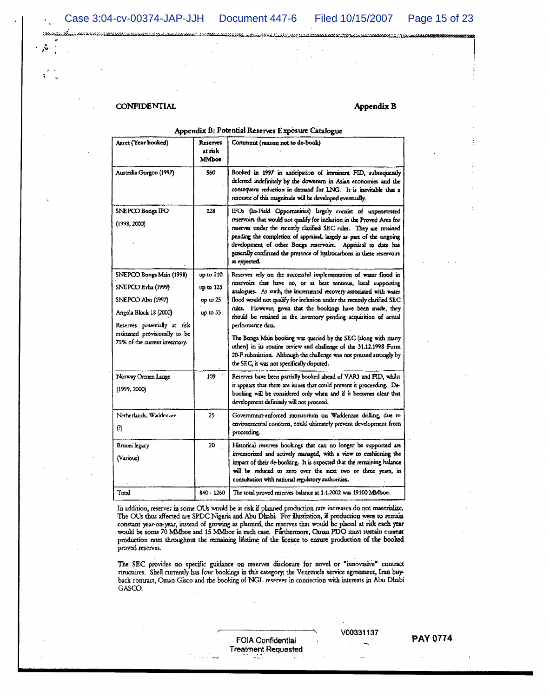Landa (1961), stringer i population

<u> La completa de com</u>

**CONFIDENTIAL** 

**CONTRACTOR CONTRACTOR IN THE UNIVERSITY** 

#### Appendix B

#### Appendix B: Potential Reserves Exposure Catalogue

| Asset (Year booked)                                                                                                                                                                             | Reserves<br>at risk<br><b>MMboe</b>                | Comment (reason not to de-book)                                                                                                                                                                                                                                                                                                                                                                                                                                                                                                                                                                                                                                                                          |  |
|-------------------------------------------------------------------------------------------------------------------------------------------------------------------------------------------------|----------------------------------------------------|----------------------------------------------------------------------------------------------------------------------------------------------------------------------------------------------------------------------------------------------------------------------------------------------------------------------------------------------------------------------------------------------------------------------------------------------------------------------------------------------------------------------------------------------------------------------------------------------------------------------------------------------------------------------------------------------------------|--|
| Australia Gorgon (1997)                                                                                                                                                                         | 560                                                | Booked in 1997 in anticipation of imminent FID, subsequently<br>deferred indefinitely by the downturn in Asian economies and the<br>consequent reduction in demand for LNG. It is inevitable that a<br>resource of this magnitude will be developed eventually.                                                                                                                                                                                                                                                                                                                                                                                                                                          |  |
| SNEPCO Bonga IFO<br>(1998, 2000)                                                                                                                                                                | 128                                                | IFOs (In-Field Opportunities) largely consist of unpenetrated<br>reservoirs that would not qualify for inclusion in the Proved Area for<br>reserves under the recently clarified SEC rules. They are retained<br>pending the completion of appraisal, largely as part of the ongoing<br>development of other Bonga reservoirs. Appraisal to date has<br>generally confirmed the presence of hydrocarbons in these reservoirs<br>as expected.                                                                                                                                                                                                                                                             |  |
| SNEPCO Bonga Main (1998)<br>SNEPCO Erha (1999)<br>SNEPOO Abo (1997)<br>Angola Block 18 (2000)<br>Reserves potentially at risk<br>estimated provisionally to be<br>75% of the current inventory. | up to 210<br>up to 125<br>$up$ to $25$<br>up to 55 | Reserves rely on the successful implementation of water flood in<br>reservoirs that have no, or at best tenuous, local supporting<br>analogues. As such, the incremental recovery associated with water<br>flood would not qualify for inclusion under the recently clarified SEC<br>rules. However, given that the bookings have been made, they<br>should be retained in the inventory pending acquisition of actual<br>performance data.<br>The Bonga Main booking was queried by the SEC (along with many<br>others) in its routine review and challenge of the 31.12.1998 Form<br>20-F submission. Although the challenge was not pressed strongly by<br>the SEC, it was not specifically disputed. |  |
| Norway Ormen Lange<br>(1999, 2000)                                                                                                                                                              | 109                                                | Reserves have been partially booked ahead of VARJ and FID, whilst<br>it appears that there are issues that could prevent it proceeding. De-<br>booking will be considered only when and if it becomes clear that<br>development definitely will not proceed.                                                                                                                                                                                                                                                                                                                                                                                                                                             |  |
| Netherlands, Waddenzee<br>Ø)                                                                                                                                                                    | 25                                                 | Government-enforced moratorium on Waddenzee drilling, due to<br>environmental concerns, could ultimately prevent development from<br>proceeding.                                                                                                                                                                                                                                                                                                                                                                                                                                                                                                                                                         |  |
| Brunei legacy<br>(Various)                                                                                                                                                                      | 20                                                 | Historical reserves bookings that can no longer be supported are<br>inventorized and actively managed, with a view to cushioning the<br>impact of their de-booking. It is expected that the remaining balance<br>will be reduced to zero over the next two or three years, in<br>consultation with national regulatory authorities.                                                                                                                                                                                                                                                                                                                                                                      |  |
| Total                                                                                                                                                                                           | 840 - 1260                                         | The total proved reserves balance at 1.1.2002 was 19100 MMboe.                                                                                                                                                                                                                                                                                                                                                                                                                                                                                                                                                                                                                                           |  |

In addition, reserves in some OUs would be at risk if planned production rate increases do not materialize. The OUs thus affected are SPDC Nigeria and Abu Dhabi. For illustration, if production were to remain constant year-on-year, instead of growing as planned, the reserves that would be placed at risk each year would be some 70 MMboe and 15 MMboe in each case. Furthermore, Oman PDO must sustain current production rates throughout the remaining lifetime of the licence to ensure production of the booked proved reserves.

The SEC provides no specific guidance on reserves disclosure for novel or "innovative" contract structures. Shell currently has four bookings in this category: the Venezuela service agreement, Iran buyback contract, Oman Gisco and the booking of NGL reserves in connection with interests in Abu Dhabi  $GAS$ CO.

> **FOIA Confidential Treatment Requested**

#### V00331137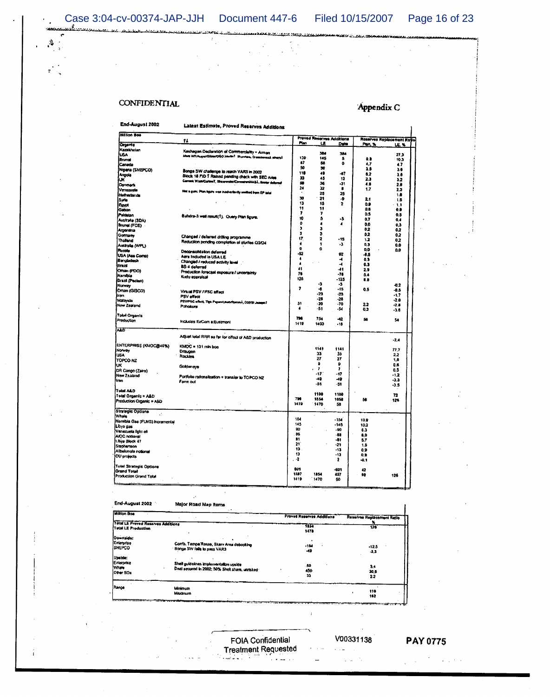Case 3:04-cv-00374-JAP-JJH Document 447-6 Filed 10/15/2007 Page 16 of 23

 $\mathcal{S}$  $\Lambda$  aaabadka siiri

<u>ian matatra</u>

**MARIA LANDARY** 

# **CONFIDENTIAL**

## Appendix C

End-August 2002 Latest Estimate, Proved Reserves Additions Million Boe Proved Reserves Additions<br>Plan LE Delta Reserves Rep  $\mathbf{t}$ Plan, % Organic<br>Kazakhstan<br>USA<br>Brunei<br>Canada **LE. %** 38.14.66.59.48.45.39.32.25.21.15.11.7.5.4.3.5.2.1.0.  $\begin{array}{c}\n 384 \\
5 \\
0\n \end{array}$ 270276528385185438543222000 12962年12月12日,12月22日,12月22日,12月22日,12月22日,12月22日,12月22日,12月22日,12月22日,12月22日,12月22日,12月22日,12月22日,12月 9月17日 8月17日 |Canada<br>|Nigeria (SNEPCO)<br>|Angola<br>|UK Bongs SW challenge to reach VAR3 in 2002<br>Block 18 FID 1 Risked pending check with SEC rules<br>Cames WestCarlen?, ShaawsterComministicks, sover enter 47 12 31 8 25 少 2 Denmart ter a gain: Plan hours was inadvertimity well ed from EP norms<br>Syria<br>Egypt<br>Gebon 2023702223033348 (Galtion<br>|Pakistan<br>|Australia (SDA)<br>|Brunel (FCE)<br>|Argentina<br>|Thalland<br>|Thalland Bahdra-3 weil result(1). Query Plan figure.  $\frac{15}{4}$ Changed / delarred drifting programme<br>Reduction pending completion of studies Q3/D4  $\frac{15}{3}$ Australe (WPL) Decianacilidation deferred<br>Aera Included In USA LE<br>Changied / reduced activity level<br>BS-4 deterred<br>Production forecast exposure / uncertainty<br>Kudu appraisal Pussia<br>Pussia<br>USA (Ass Comp)<br>|Brodadesh 税→→科准120mm222220.5% . . iou gauces<br>Brazil<br>Oman (PDO)<br>Namibia Namibia<br>Brazil (Pacten) 3 4 23 33 51  $-0.2$ <br> $-0.5$ <br> $-1.7$ <br> $-2.8$ <br> $-3.6$ Draca (Pacaan)<br>Draca (GISCO)<br>Iran<br>Malaysia  $\pmb{r}$  $0.5$ Virtual PSV / PSC effect<br>PSV effect<br>PSV/PSC effect, Tiga Papavit  $\frac{31}{4}$  $\frac{2.2}{0.3}$ .<br>New Zealand Pohology **Total Organic**<br>Production 796<br>1419 754<br>1400  $-12$ <br>-16 56  $\overline{\mathbf{54}}$ Includes ExCorn adjustment **ALD** Adjust total RRR so far for effect of A&D production  $2,4$ ENTERPRISE (KMOC@46%)  $1141$ <br>  $33$ <br>  $27$ <br>  $9$ <br>  $7$ <br>  $-17$ <br>  $-49$ <br>  $-51$ KMOC = 131 min bos 1141 33 27 9 7 17 49 51 77.7<br>2.2<br>1.8<br>0.6<br>0.5<br>-1.2<br>3.3 Noway<br>1954<br>TOPCO NZ<br>UK<br>DR Congo (Zaire)<br>Now Zealand Draugen<br>Rockles Goldenaye  $\ddot{\phantom{a}}$ Portfolio rationalization + transfer to TOPCO NZ<br>Ferm out imn Total A&D 1100<br>1854<br>1470 1100<br>1058<br>50  $\frac{72}{125}$ Total Organic + AED<br>Production Organic + A&D 796<br>1419  $\pmb{56}$ |<br>|Strategie Options<br>|Whale<br>|Namibia Gas (FLNG) Incremental 钢 45 的 86 时 21 特 12 号 1244年4月12日 1244年12月12日 10,923 5.00 7.5 9.9 9.1 .<br>Libya gas Libys gas<br>Venezuela light oli<br>AnOC notional<br>Libys Block 47<br>Stephenson<br>Albekmola notional<br>OU projects Total Strategic Options<br>Grand Total<br>Production Grand Total 801<br>1387<br>1419  $\frac{1}{457}$ <br>50  $\frac{42}{38}$ 1854<br>1470 126

#### End-August 2002 Major Road Map Items

| <b>Million Boe</b>                 | . .                                                                     |                                  |                            |  |
|------------------------------------|-------------------------------------------------------------------------|----------------------------------|----------------------------|--|
|                                    |                                                                         | <b>Proved Reserves Additions</b> | Reserves Replacement Ratio |  |
| Total LE Provad Reserves Additions |                                                                         | $-1154$                          |                            |  |
| Tutat LE Production                |                                                                         | 1479                             | 126                        |  |
| Downside:                          |                                                                         |                                  |                            |  |
| Enterprise<br><b>SNEPCO</b>        | Corrib, Tempa Rosse, Skarv Area debooking<br>Bongs SW fals to pass VAR3 | $+124$<br>$-49$                  | $-12.5$<br>-3.3            |  |
| Upside:<br>Enterprise              |                                                                         |                                  |                            |  |
| <b>Whate</b>                       | Shelf guidelines implementation upside                                  | 50                               | 3.4                        |  |
| Other SOs                          | Deal secured in 2002; 50% Shell share, unrisked                         | 450                              | 30,5                       |  |
|                                    |                                                                         | 33                               | 22                         |  |
| Panos                              |                                                                         |                                  |                            |  |
|                                    | Minimum<br><b>Maximum</b>                                               |                                  | 110<br>182                 |  |

FOIA Confidential **Treatment Requested** alian di n<br>Tanahasin'ilay

 $\bar{1}$ 

 $\alpha$  ,  $\alpha$ 

 $\sim 100$ 

 $\tau_{\rm in} \geq \rho_{\rm s}$ 

V00331138 **PAY 0775** 

 $\sim$ 

 $\mathbf{I}$ 

 $\sim 10^{11}$  km s  $^{-1}$  $\Delta \sim 1$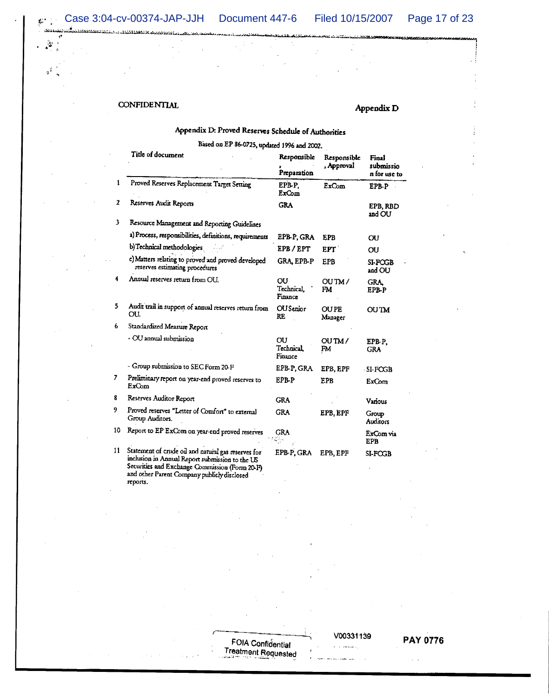Case 3:04-cv-00374-JAP-JJH Document 447-6 Filed 10/15/2007 Page 17 of 23

 $\mathbf{r}^{(1)}_{\mathrm{in}}$  .

لاً.  $\Delta$ 

 $\frac{1}{2}$ 

## **CONFIDENTIAL**

talikan oleh didaktikan kanalakan kalendari yang ber

## Appendix D

# Appendix D: Proved Reserves Schedule of Authorities

# Based on EP 86-0725, updated 1996 and 2002.

|    | i itic of gocument                                                                                     | Responsible                       | Responsible            | Final                     |  |
|----|--------------------------------------------------------------------------------------------------------|-----------------------------------|------------------------|---------------------------|--|
|    |                                                                                                        | Preparation                       | , Approval             | submissio<br>n for use to |  |
| 1  | Proved Reserves Replacement Target Setting                                                             | EPB-P.<br>ExCom                   | ExCom                  | EPB-P                     |  |
| 2  | Reserves Audit Reports                                                                                 | <b>GRA</b>                        |                        | EPB.RBD<br>and OU         |  |
| 3  | Resource Management and Reporting Guidelines                                                           |                                   |                        |                           |  |
|    | a) Process, responsibilities, definitions, requirements                                                | EPB-P, GRA                        | <b>EPB</b>             | OU                        |  |
|    | b) Technical methodologies                                                                             | EPB/EPT                           | EPT <sup>'</sup>       | OU                        |  |
|    | c) Matters relating to proved and proved developed<br>reserves estimating procedures                   | GRA, EPB-P                        | <b>EPB</b>             | SI-POGB<br>and OU         |  |
| 4  | Annual reserves return from OU.                                                                        | OU<br>Technical.<br>Finance       | OUTM/<br>FM.           | GRA.<br>EPB-P             |  |
| 5. | Audit trail in support of annual reserves return from<br>OU.                                           | <b>OU</b> Senior<br>RE            | <b>OUPE</b><br>Manager | <b>OUTM</b>               |  |
| 6  | Standardized Measure Report                                                                            |                                   |                        |                           |  |
|    | - OU annual submission                                                                                 | ΟU<br><b>Technical</b><br>Finance | OUTM/<br>FM            | EPB-P.<br><b>GRA</b>      |  |
|    | - Group submission to SEC Form 20-F                                                                    | EPB-P, GRA                        | EPB, EPF               | SI-FOGB                   |  |
| 7  | Preliminary report on year-end proved reserves to<br>ExCom                                             | EPB-P                             | EPB                    | ExCom                     |  |
| 8  | Reserves Auditor Report                                                                                | <b>GRA</b>                        |                        | Various                   |  |
| 9  | Proved reserves "Letter of Comfon" to external<br>Group Auditors.                                      | GRA                               | EPB, EPF               | Group<br>Auditors         |  |
| 10 | Report to EP ExCom on year-end proved reserves                                                         | <b>GRA</b>                        |                        | ExCom via<br><b>EPB</b>   |  |
| 11 | Statement of crude oil and natural gas reserves for<br>inclusion in Annual Report submission to the IR | EPB-P, GRA                        | EPB, EPF               | SI-FOGB                   |  |

 $\overline{11}$ mension in Annual Report submission to the US<br>Securities and Exchange Commission (Form 20-F)<br>and other Parent Company publicly disclosed reports.

V00331139

## **PAY 0776**

 $\sim$   $\sim$ 

FOIA Confidential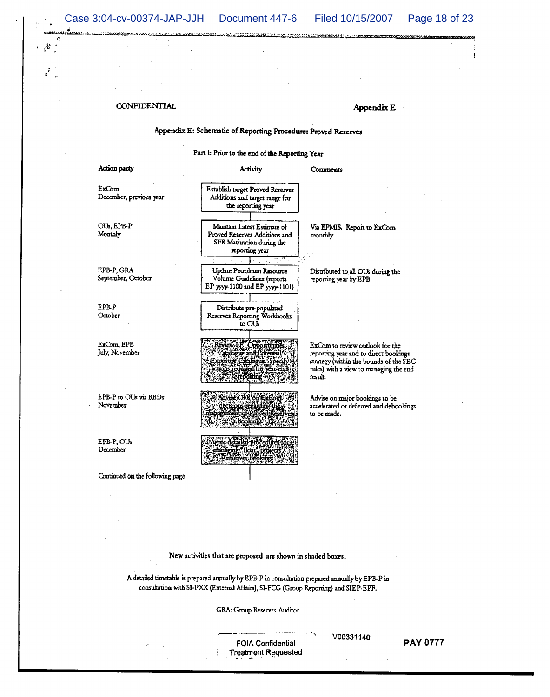Case 3:04-cv-00374-JAP-JJH Document 447-6 Filed 10/15/2007 Page 18 of 23

 $\mathcal{E}$ 

441111111110000000

**CONFIDENTIAL** 

Appendix E

## Appendix E: Schematic of Reporting Procedure: Proved Reserves

ومممودا ويمري ويتقطع فقفقها

Part 1: Prior to the end of the Reporting Year

| Action party                       | <b>Activity</b>                                                                                             | Comments                                                                                                                                                                |
|------------------------------------|-------------------------------------------------------------------------------------------------------------|-------------------------------------------------------------------------------------------------------------------------------------------------------------------------|
| ExCom<br>December, previous year   | Establish target Proved Reserves<br>Additions and target range for<br>the reporting year                    |                                                                                                                                                                         |
| OU <sub>s</sub> , EPB-P<br>Monthly | Maintain Latest Estimate of<br>Proved Reserves Additions and<br>SFR Maturation during the<br>reporting year | Via EPMIS. Report to ExCom<br>monthly.                                                                                                                                  |
| EPB-P, GRA<br>September, October   | Update Petroleum Resource<br>Volume Guidelines (reports<br>EP yyyy-1100 and EP yyyy-1101)                   | Distributed to all OUs during the<br>reporting year by EPB                                                                                                              |
| EPB-P<br>October                   | Distribute pre-populated<br>Reserves Reporting Workbooks<br>to OUs                                          |                                                                                                                                                                         |
| ExCom, EPB<br>July, November       | ch now they                                                                                                 | ExCom to review outlook for the<br>reporting year and to direct bookings<br>strategy (within the bounds of the SEC<br>rules) with a view to managing the end<br>result. |
| EPB-P to OUs via RBDs<br>November  | Advise OUN of ExCour<br>ecisions regarding the<br>ement of Proved Reserve                                   | Advise on major bookings to be<br>accelerated or deferred and debookings<br>to be made.                                                                                 |
| EPB-P, OUs<br>December             | gree detailed procedures fo<br>managing float, projects                                                     |                                                                                                                                                                         |
| Continued on the following page    |                                                                                                             |                                                                                                                                                                         |

New activities that are proposed are shown in shaded boxes.

A detailed timetable is prepared annually by EPB-P in consultation prepared annually by EPB-P in consultation with SI-PXX (External Affairs), SI-FCG (Group Reporting) and SIEP-EPF.

GRA: Group Reserves Auditor

**FOIA Confidential Treatment Requested**  V00331140

ς,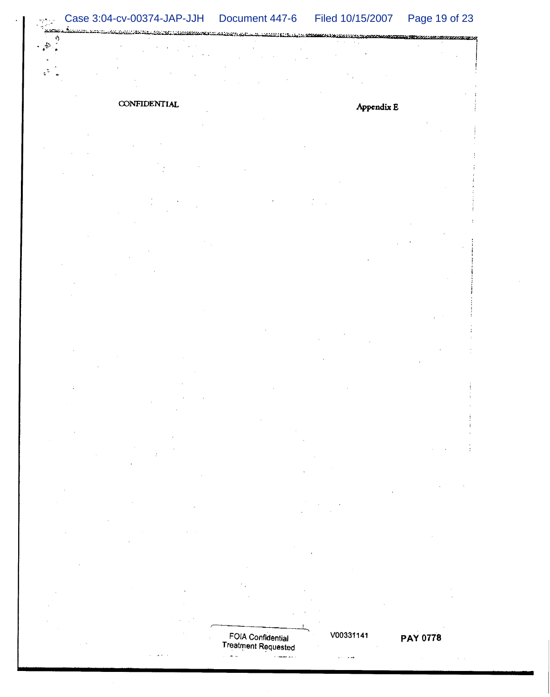<u>. Kan Manakatan Marekan Kabupatén Jadi Kabupatén Jawa Kabupatén Jawa Kabupatén Kabupatén Ka</u> En de l'Estat de l'altre de l'altres de l'altre de l'altre de l'altres de l'altres de l'altres de l'

# **CONFIDENTIAL**

 $\omega_1$  ,  $\omega_2$ 

 $\mathfrak{g}^{\mathfrak{p}}$  $\overline{a}$ 

ŷ  $\mathcal{L}_{\bullet}$ þ

 $\Delta\sim 10$ 

# Appendix E

FOIA Confidential<br>Treatment Requested  $\frac{\partial}{\partial \mathbf{r}}$ وأدويه فستساخ

V00331141

 $\alpha$  -  $\alpha$  -  $\alpha$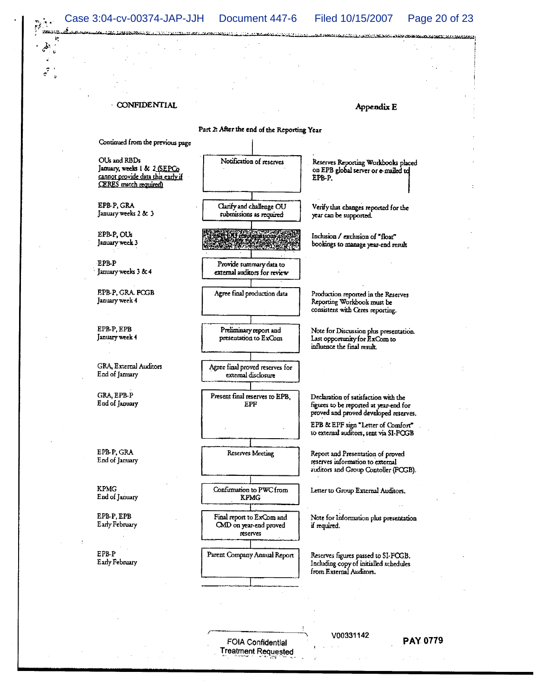Case 3:04-cv-00374-JAP-JJH Document 447-6 Filed 10/15/2007 **Geographic Stars in General American** 

CONFIDENTIAL

Appendix E

Page 20 of 23

Part 2: After the end of the Reporting Year Continued from the previous page Notification of reserves OUs and RBDs Reserves Reporting Workbooks placed January, weeks 1 & 2 (SEPCo on EPB global server or e-mailed to cannot provide data this early if EPB-P. CERES match required) EPB-P, GRA Clarify and challenge OU Verify that changes reported for the January weeks 2 & 3 submissions as required year can be supported. EPB-P, OUs ÆА Inclusion / exclusion of "float" January week 3 bookings to manage year-end result **EPBP** Provide summary data to January weeks 3 & 4 external auditors for review EPB-P, GRA. FOGB Agree final production data Production reported in the Reserves January week 4 Reporting Workbook must be consistent with Ceres reporting. EPB-P, EPB Preliminary report and Note for Discussion phis presentation. January week 4 presentation to ExCom Last opportunity for ExCom to influence the final result. GRA, External Auditors Agree final proved reserves for End of January external disclosure **GRA EPB-P** Present final reserves to EPB, Declaration of satisfaction with the End of January EPF figures to be reported at year-end for proved and proved developed reserves. EPB & EPF sign "Letter of Comfort" to external auditors, sent via SI-FOGB EPB-P, GRA Report and Presentation of proved **Reserves Meeting** End of January reserves information to external auditors and Group Contoller (FCGB). **KPMG** Confirmation to PWC from Letter to Group External Auditors. End of January **KPMG** EPB-P, EPB Final report to ExCom and Note for Information plus presentation Early February CMD on year-end proved if required. reserves EPB-P Parent Company Annual Report Reserves figures passed to SI-FOGB. Early February Including copy of initialled schedules from External Auditors.

> FOIA Confidential Treatment Requested

V00331142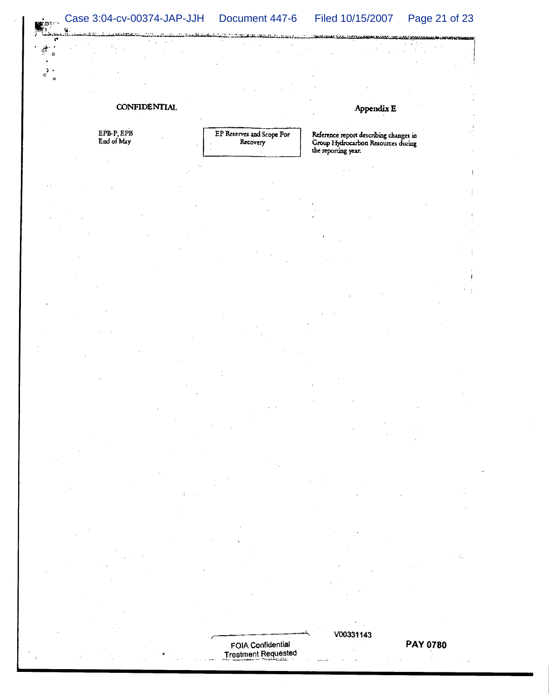#### $\mathbb{R}^{n}$  Case 3:04-cv-00374-JAP-JJH Document 447-6 Page 21 of 23 Filed 10/15/2007

 $\alpha$  $\overline{a}$ 

## CONFIDENTIAL

EPB-P, EPB<br>End of May

فبني

 $\sigma^2$ 

EP Reserves and Scope For Recovery

Appendix E

Reference report describing changes in<br>Group Hydrocarbon Resources during the reporting year.

FOIA Confidential **Treatment Requested**  V00331143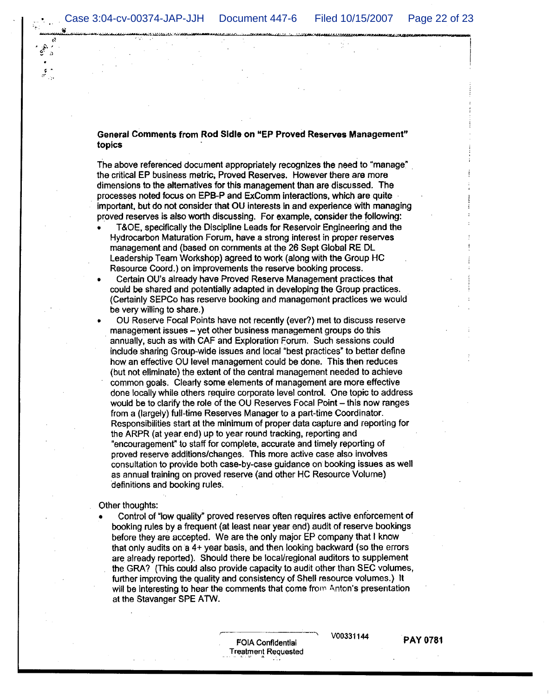#### General Comments from Rod Sidle on "EP Proved Reserves Management" topics

The above referenced document appropriately recognizes the need to "manage" the critical EP business metric, Proved Reserves. However there are more dimensions to the alternatives for this management than are discussed. The processes noted focus on EPB-P and ExComm interactions, which are quite important, but do not consider that OU interests in and experience with managing proved reserves is also worth discussing. For example, consider the following:

- T&OE, specifically the Discipline Leads for Reservoir Engineering and the Hydrocarbon Maturation Forum, have a strong interest in proper reserves management and (based on comments at the 26 Sept Global RE DL Leadership Team Workshop) agreed to work (along with the Group HC Resource Coord.) on improvements the reserve booking process.
- Certain OU's already have Proved Reserve Management practices that could be shared and potentially adapted in developing the Group practices. (Certainly SEPCo has reserve booking and management practices we would be very willing to share.)
- OU Reserve Focal Points have not recently (ever?) met to discuss reserve management issues - yet other business management groups do this annually, such as with CAF and Exploration Forum. Such sessions could include sharing Group-wide issues and local "best practices" to better define how an effective OU level management could be done. This then reduces (but not eliminate) the extent of the central management needed to achieve common goals. Clearly some elements of management are more effective done locally while others require corporate level control. One topic to address would be to clarify the role of the OU Reserves Focal Point - this now ranges from a (largely) full-time Reserves Manager to a part-time Coordinator. Responsibilities start at the minimum of proper data capture and reporting for the ARPR (at year end) up to year round tracking, reporting and "encouragement" to staff for complete, accurate and timely reporting of proved reserve additions/changes. This more active case also involves consultation to provide both case-by-case guidance on booking issues as well as annual training on proved reserve (and other HC Resource Volume) definitions and booking rules.

#### Other thoughts:

٠

Control of "low quality" proved reserves often requires active enforcement of booking rules by a frequent (at least near year end) audit of reserve bookings before they are accepted. We are the only major EP company that I know that only audits on a 4+ year basis, and then looking backward (so the errors are already reported). Should there be local/regional auditors to supplement the GRA? (This could also provide capacity to audit other than SEC volumes, further improving the quality and consistency of Shell resource volumes.) It will be interesting to hear the comments that come from Anton's presentation at the Stavanger SPE ATW.

> FOIA Confidential **Treatment Requested**

V00331144